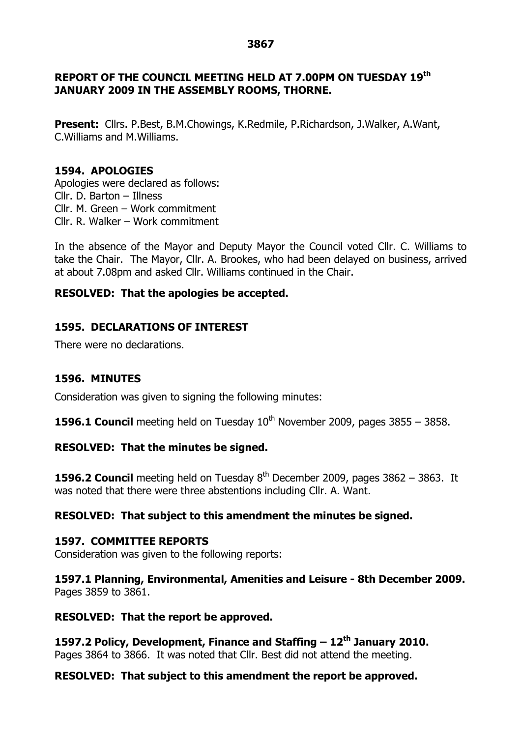#### **3867**

## **REPORT OF THE COUNCIL MEETING HELD AT 7.00PM ON TUESDAY 19th JANUARY 2009 IN THE ASSEMBLY ROOMS, THORNE.**

**Present:** Cllrs. P.Best, B.M.Chowings, K.Redmile, P.Richardson, J.Walker, A.Want, C.Williams and M.Williams.

## **1594. APOLOGIES**

Apologies were declared as follows: Cllr. D. Barton – Illness Cllr. M. Green –Work commitment Cllr. R. Walker –Work commitment

In the absence of the Mayor and Deputy Mayor the Council voted Cllr. C. Williams to take the Chair. The Mayor, Cllr. A. Brookes, who had been delayed on business, arrived at about 7.08pm and asked Cllr. Williams continued in the Chair.

## **RESOLVED: That the apologies be accepted.**

# **1595. DECLARATIONS OF INTEREST**

There were no declarations.

# **1596. MINUTES**

Consideration was given to signing the following minutes:

**1596.1 Council** meeting held on Tuesday  $10<sup>th</sup>$  November 2009, pages 3855 – 3858.

### **RESOLVED: That the minutes be signed.**

**1596.2 Council** meeting held on Tuesday  $8<sup>th</sup>$  December 2009, pages 3862 – 3863. It was noted that there were three abstentions including Cllr. A. Want.

# **RESOLVED: That subject to this amendment the minutes be signed.**

### **1597. COMMITTEE REPORTS**

Consideration was given to the following reports:

**1597.1 Planning, Environmental, Amenities and Leisure - 8th December 2009.** Pages 3859 to 3861.

### **RESOLVED: That the report be approved.**

**1597.2 Policy, Development, Finance and Staffing –12 th January 2010.** Pages 3864 to 3866. It was noted that Cllr. Best did not attend the meeting.

### **RESOLVED: That subject to this amendment the report be approved.**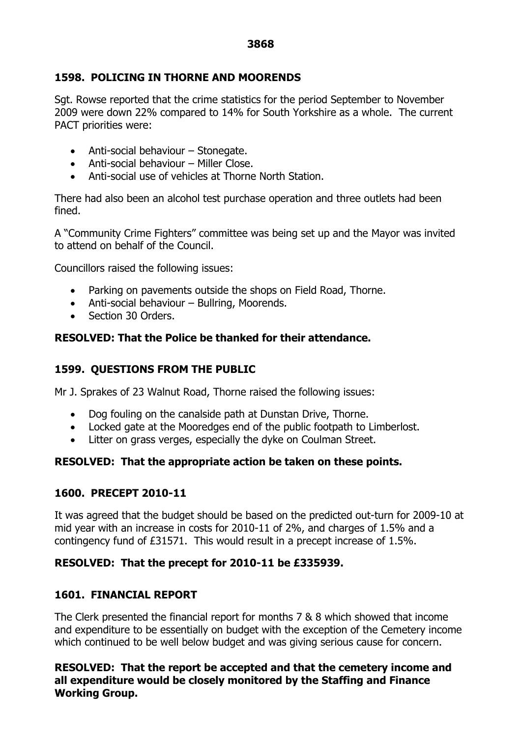# **1598. POLICING IN THORNE AND MOORENDS**

Sgt. Rowse reported that the crime statistics for the period September to November 2009 were down 22% compared to 14% for South Yorkshire as a whole. The current PACT priorities were:

- $\bullet$  Anti-social behaviour Stonegate.
- $\bullet$  Anti-social behaviour Miller Close.
- Anti-social use of vehicles at Thorne North Station.

There had also been an alcohol test purchase operation and three outlets had been fined.

A "Community Crime Fighters"committee was being set up and the Mayor was invited to attend on behalf of the Council.

Councillors raised the following issues:

- Parking on pavements outside the shops on Field Road, Thorne.
- $\bullet$  Anti-social behaviour Bullring, Moorends.
- Section 30 Orders.

# **RESOLVED: That the Police be thanked for their attendance.**

# **1599. QUESTIONS FROM THE PUBLIC**

Mr J. Sprakes of 23 Walnut Road, Thorne raised the following issues:

- Dog fouling on the canalside path at Dunstan Drive, Thorne.
- Locked gate at the Mooredges end of the public footpath to Limberlost.
- Litter on grass verges, especially the dyke on Coulman Street.

# **RESOLVED: That the appropriate action be taken on these points.**

# **1600. PRECEPT 2010-11**

It was agreed that the budget should be based on the predicted out-turn for 2009-10 at mid year with an increase in costs for 2010-11 of 2%, and charges of 1.5% and a contingency fund of £31571. This would result in a precept increase of 1.5%.

# **RESOLVED: That the precept for 2010-11 be £335939.**

# **1601. FINANCIAL REPORT**

The Clerk presented the financial report for months 7 & 8 which showed that income and expenditure to be essentially on budget with the exception of the Cemetery income which continued to be well below budget and was giving serious cause for concern.

**RESOLVED: That the report be accepted and that the cemetery income and all expenditure would be closely monitored by the Staffing and Finance Working Group.**